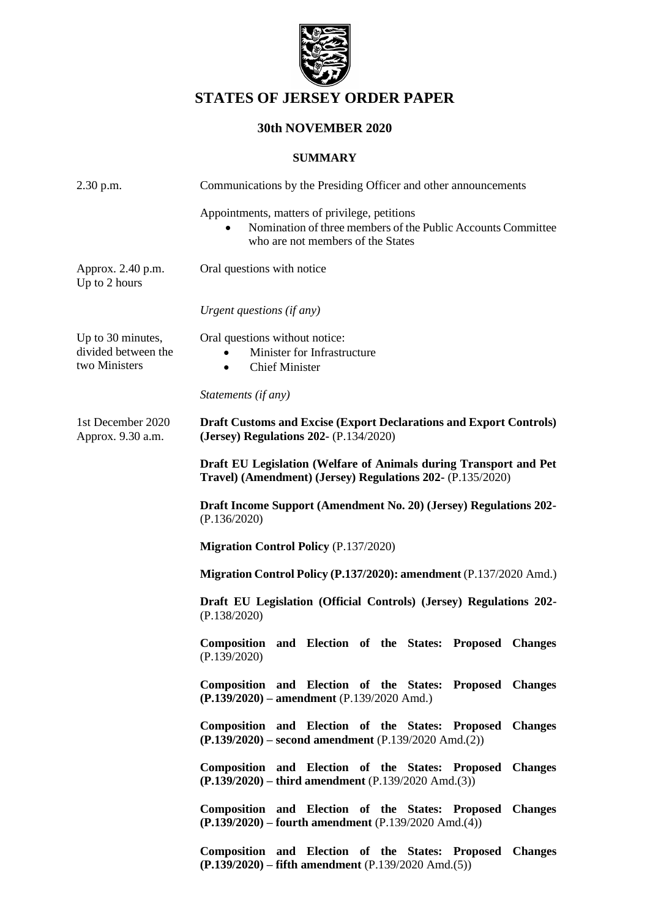

# **STATES OF JERSEY ORDER PAPER**

# **30th NOVEMBER 2020**

# **SUMMARY**

| 2.30 p.m.                                                 | Communications by the Presiding Officer and other announcements                                                                                    |
|-----------------------------------------------------------|----------------------------------------------------------------------------------------------------------------------------------------------------|
|                                                           | Appointments, matters of privilege, petitions<br>Nomination of three members of the Public Accounts Committee<br>who are not members of the States |
| Approx. 2.40 p.m.<br>Up to 2 hours                        | Oral questions with notice                                                                                                                         |
|                                                           | Urgent questions (if any)                                                                                                                          |
| Up to 30 minutes,<br>divided between the<br>two Ministers | Oral questions without notice:<br>Minister for Infrastructure<br><b>Chief Minister</b><br>$\bullet$                                                |
|                                                           | Statements (if any)                                                                                                                                |
| 1st December 2020<br>Approx. 9.30 a.m.                    | <b>Draft Customs and Excise (Export Declarations and Export Controls)</b><br>(Jersey) Regulations 202- (P.134/2020)                                |
|                                                           | Draft EU Legislation (Welfare of Animals during Transport and Pet<br>Travel) (Amendment) (Jersey) Regulations 202- (P.135/2020)                    |
|                                                           | Draft Income Support (Amendment No. 20) (Jersey) Regulations 202-<br>(P.136/2020)                                                                  |
|                                                           | <b>Migration Control Policy (P.137/2020)</b>                                                                                                       |
|                                                           | Migration Control Policy (P.137/2020): amendment (P.137/2020 Amd.)                                                                                 |
|                                                           | Draft EU Legislation (Official Controls) (Jersey) Regulations 202-<br>(P.138/2020)                                                                 |
|                                                           | Composition and Election of the States: Proposed Changes<br>(P.139/2020)                                                                           |
|                                                           | Composition and Election of the States: Proposed Changes<br>(P.139/2020) – amendment (P.139/2020 Amd.)                                             |
|                                                           | Composition and Election of the States: Proposed Changes<br>$(P.139/2020)$ – second amendment $(P.139/2020 \text{ Amd}.(2))$                       |
|                                                           | Composition and Election of the States: Proposed Changes<br>$(P.139/2020)$ – third amendment $(P.139/2020 \text{ Amd.}(3))$                        |
|                                                           | Composition and Election of the States: Proposed Changes<br>$(P.139/2020)$ – fourth amendment $(P.139/2020 \text{ Amd.}(4))$                       |
|                                                           | Composition and Election of the States: Proposed Changes<br>$(P.139/2020)$ – fifth amendment $(P.139/2020 \text{ Amd.}(5))$                        |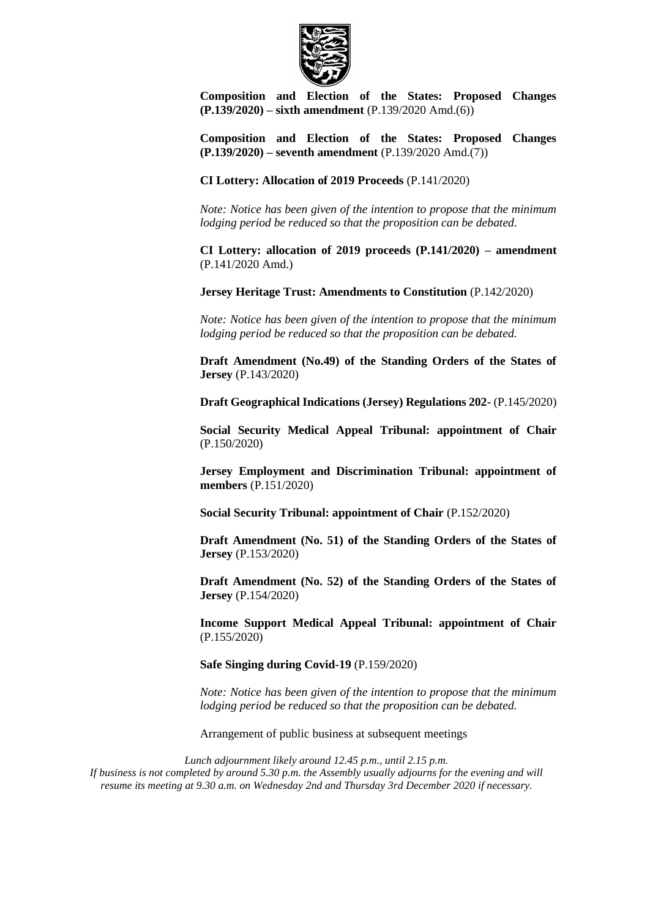

**Composition and Election of the States: Proposed Changes [\(P.139/2020\)](https://statesassembly.gov.je/assemblypropositions/2020/p.139-2020%20amd.(6)%20(re-issue).pdf) – sixth amendment** [\(P.139/2020 Amd.\(6\)\)](https://statesassembly.gov.je/assemblypropositions/2020/p.139-2020%20amd.(6)%20(re-issue).pdf)

**Composition and Election of the States: Proposed Changes [\(P.139/2020\)](https://statesassembly.gov.je/assemblypropositions/2020/p.139-2020%20amd.(7).pdf) – seventh amendment** [\(P.139/2020 Amd.\(7\)\)](https://statesassembly.gov.je/assemblypropositions/2020/p.139-2020%20amd.(7).pdf)

**[CI Lottery: Allocation of 2019 Proceeds](https://statesassembly.gov.je/AssemblyPropositions/2020/P.141-2020.pdf)** (P.141/2020)

*Note: Notice has been given of the intention to propose that the minimum lodging period be reduced so that the proposition can be debated.*

**[CI Lottery: allocation of 2019 proceeds \(P.141/2020\) –](https://statesassembly.gov.je/AssemblyPropositions/2020/P.141-2020Amd.pdf) amendment** [\(P.141/2020 Amd.\)](https://statesassembly.gov.je/AssemblyPropositions/2020/P.141-2020Amd.pdf) 

**Jersey Heritage Trust: Amendments to Constitution** [\(P.142/2020\)](https://statesassembly.gov.je/assemblypropositions/2020/p.142-2020.pdf)

*Note: Notice has been given of the intention to propose that the minimum lodging period be reduced so that the proposition can be debated.*

**Draft Amendment (No.49) of the Standing Orders of the States of Jersey** [\(P.143/2020\)](https://statesassembly.gov.je/assemblypropositions/2020/p.143-2020.pdf)

**[Draft Geographical Indications \(Jersey\) Regulations 202-](https://statesassembly.gov.je/AssemblyPropositions/2020/P.145-2020.pdf)** (P.145/2020)

**[Social Security Medical Appeal Tribunal: appointment of Chair](https://statesassembly.gov.je/AssemblyPropositions/2020/P.150-2020.pdf)** [\(P.150/2020\)](https://statesassembly.gov.je/AssemblyPropositions/2020/P.150-2020.pdf) 

**[Jersey Employment and Discrimination Tribunal: appointment of](https://statesassembly.gov.je/AssemblyPropositions/2020/P.151-2020.pdf)  members** [\(P.151/2020\)](https://statesassembly.gov.je/AssemblyPropositions/2020/P.151-2020.pdf) 

**[Social Security Tribunal: appointment of Chair](https://statesassembly.gov.je/AssemblyPropositions/2020/P.152-2020.pdf)** (P.152/2020)

**[Draft Amendment \(No. 51\) of the Standing Orders of the States of](https://statesassembly.gov.je/AssemblyPropositions/2020/P.153-2020.pdf)  Jersey** [\(P.153/2020\)](https://statesassembly.gov.je/AssemblyPropositions/2020/P.153-2020.pdf) 

**[Draft Amendment \(No. 52\) of the Standing Orders of the States of](https://statesassembly.gov.je/AssemblyPropositions/2020/P.154-2020.pdf)  Jersey** [\(P.154/2020\)](https://statesassembly.gov.je/AssemblyPropositions/2020/P.154-2020.pdf) 

**[Income Support Medical Appeal Tribunal: appointment of Chair](https://statesassembly.gov.je/AssemblyPropositions/2020/P.155-2020.pdf)** [\(P.155/2020\)](https://statesassembly.gov.je/AssemblyPropositions/2020/P.155-2020.pdf) 

**Safe Singing during Covid-19** [\(P.159/2020\)](https://statesassembly.gov.je/assemblypropositions/2020/p.159-2020.pdf)

*Note: Notice has been given of the intention to propose that the minimum lodging period be reduced so that the proposition can be debated.*

Arrangement of public business at subsequent meetings

*Lunch adjournment likely around 12.45 p.m., until 2.15 p.m. If business is not completed by around 5.30 p.m. the Assembly usually adjourns for the evening and will resume its meeting at 9.30 a.m. on Wednesday 2nd and Thursday 3rd December 2020 if necessary.*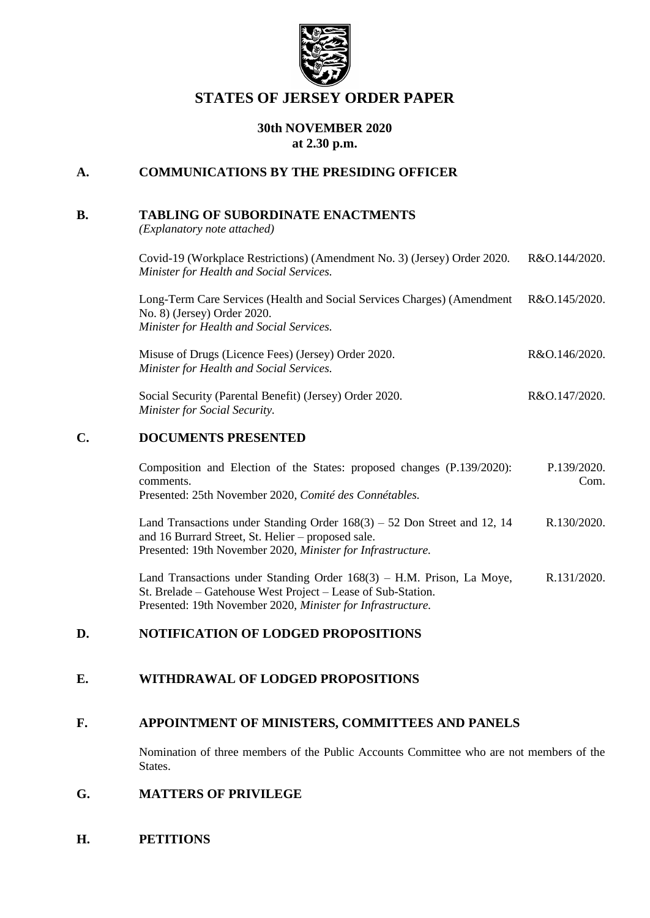

# **STATES OF JERSEY ORDER PAPER**

# **30th NOVEMBER 2020 at 2.30 p.m.**

# **A. COMMUNICATIONS BY THE PRESIDING OFFICER**

### **B. TABLING OF SUBORDINATE ENACTMENTS**

*(Explanatory note attached)*

| Covid-19 (Workplace Restrictions) (Amendment No. 3) (Jersey) Order 2020.<br>Minister for Health and Social Services.                               | R&O.144/2020. |
|----------------------------------------------------------------------------------------------------------------------------------------------------|---------------|
| Long-Term Care Services (Health and Social Services Charges) (Amendment<br>No. 8) (Jersey) Order 2020.<br>Minister for Health and Social Services. | R&O.145/2020. |
| Misuse of Drugs (Licence Fees) (Jersey) Order 2020.<br>Minister for Health and Social Services.                                                    | R&O.146/2020. |
| Social Security (Parental Benefit) (Jersey) Order 2020.<br><b>Minister for Social Security.</b>                                                    | R&O.147/2020. |
| DAALIMBNIS DDRABMED                                                                                                                                |               |

# **C. DOCUMENTS PRESENTED**

| Composition and Election of the States: proposed changes (P.139/2020):<br>comments.<br>Presented: 25th November 2020, Comité des Connétables.                                                   | P.139/2020.<br>Com. |
|-------------------------------------------------------------------------------------------------------------------------------------------------------------------------------------------------|---------------------|
| Land Transactions under Standing Order $168(3) - 52$ Don Street and 12, 14<br>and 16 Burrard Street, St. Helier – proposed sale.<br>Presented: 19th November 2020, Minister for Infrastructure. | R.130/2020.         |
| Land Transactions under Standing Order 168(3) – HM Prison La Move                                                                                                                               | R 131/2020          |

actions under Standing Order 168(3) – H.M. Prison, La Moye, St. Brelade – [Gatehouse West Project –](https://statesassembly.gov.je/assemblyreports/2020/r.131-2020.pdf) Lease of Sub-Station. [Presented: 19th November 2020,](https://statesassembly.gov.je/assemblyreports/2020/r.131-2020.pdf) *Minister for Infrastructure.* [R.131/2020.](https://statesassembly.gov.je/assemblyreports/2020/r.131-2020.pdf)

## **D. NOTIFICATION OF LODGED PROPOSITIONS**

# **E. WITHDRAWAL OF LODGED PROPOSITIONS**

# **F. APPOINTMENT OF MINISTERS, COMMITTEES AND PANELS**

Nomination of three members of the Public Accounts Committee who are not members of the States.

# **G. MATTERS OF PRIVILEGE**

**H. PETITIONS**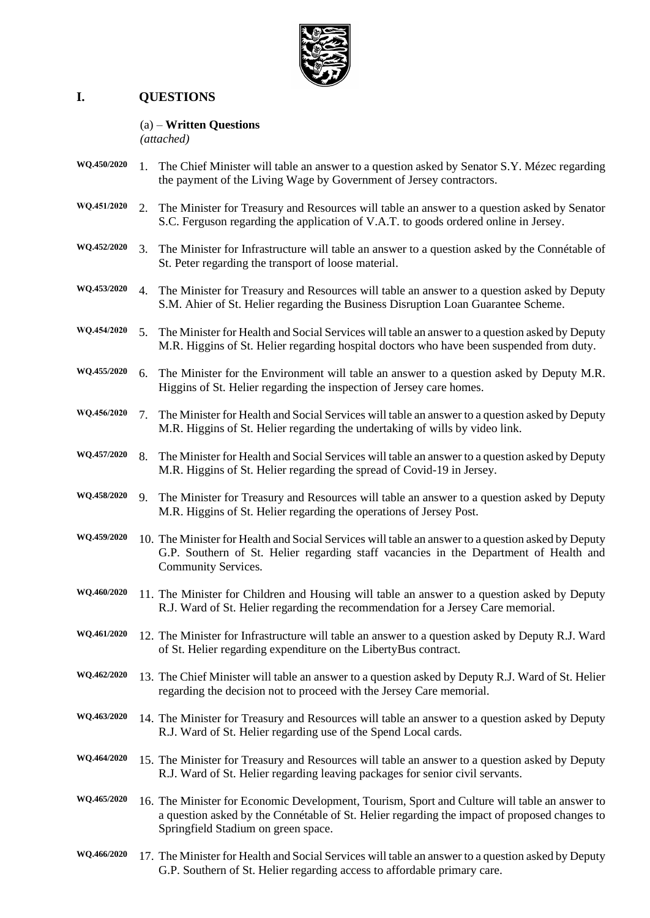

# **I. QUESTIONS**

#### (a) – **Written Questions**

*(attached)*

- **WQ.450/2020** 1. The Chief Minister will table an answer to a question asked by Senator S.Y. Mézec regarding the payment of the Living Wage by Government of Jersey contractors.
- **WQ.451/2020** 2. The Minister for Treasury and Resources will table an answer to a question asked by Senator S.C. Ferguson regarding the application of V.A.T. to goods ordered online in Jersey.
- **WQ.452/2020** 3. The Minister for Infrastructure will table an answer to a question asked by the Connétable of St. Peter regarding the transport of loose material.
- **WQ.453/2020** 4. The Minister for Treasury and Resources will table an answer to a question asked by Deputy S.M. Ahier of St. Helier regarding the Business Disruption Loan Guarantee Scheme.
- **WQ.454/2020** 5. The Minister for Health and Social Services will table an answer to a question asked by Deputy M.R. Higgins of St. Helier regarding hospital doctors who have been suspended from duty.
- **WQ.455/2020** 6. The Minister for the Environment will table an answer to a question asked by Deputy M.R. Higgins of St. Helier regarding the inspection of Jersey care homes.
- **WQ.456/2020** 7. The Minister for Health and Social Services will table an answer to a question asked by Deputy M.R. Higgins of St. Helier regarding the undertaking of wills by video link.
- **WQ.457/2020** 8. The Minister for Health and Social Services will table an answer to a question asked by Deputy M.R. Higgins of St. Helier regarding the spread of Covid-19 in Jersey.
- **WQ.458/2020** 9. The Minister for Treasury and Resources will table an answer to a question asked by Deputy M.R. Higgins of St. Helier regarding the operations of Jersey Post.
- **WQ.459/2020** 10. The Minister for Health and Social Services will table an answer to a question asked by Deputy G.P. Southern of St. Helier regarding staff vacancies in the Department of Health and Community Services.
- **WQ.460/2020** 11. The Minister for Children and Housing will table an answer to a question asked by Deputy R.J. Ward of St. Helier regarding the recommendation for a Jersey Care memorial.
- **WQ.461/2020** 12. The Minister for Infrastructure will table an answer to a question asked by Deputy R.J. Ward of St. Helier regarding expenditure on the LibertyBus contract.
- **WQ.462/2020** 13. The Chief Minister will table an answer to a question asked by Deputy R.J. Ward of St. Helier regarding the decision not to proceed with the Jersey Care memorial.
- **WQ.463/2020** 14. The Minister for Treasury and Resources will table an answer to a question asked by Deputy R.J. Ward of St. Helier regarding use of the Spend Local cards.
- **WQ.464/2020** 15. The Minister for Treasury and Resources will table an answer to a question asked by Deputy R.J. Ward of St. Helier regarding leaving packages for senior civil servants.
- **WQ.465/2020** 16. The Minister for Economic Development, Tourism, Sport and Culture will table an answer to a question asked by the Connétable of St. Helier regarding the impact of proposed changes to Springfield Stadium on green space.
- **WQ.466/2020** 17. The Minister for Health and Social Services will table an answer to a question asked by Deputy G.P. Southern of St. Helier regarding access to affordable primary care.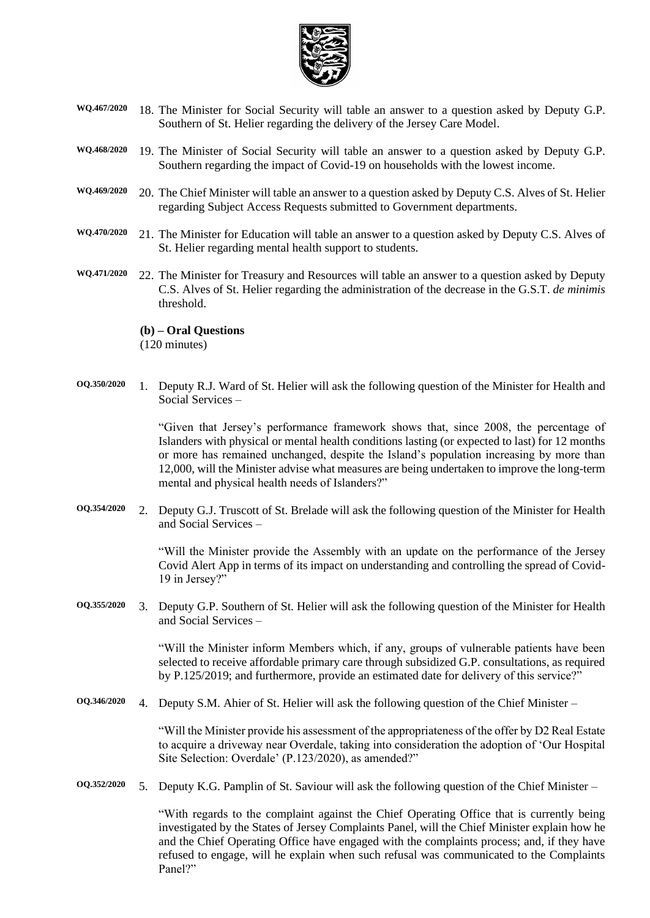

- **WQ.467/2020** 18. The Minister for Social Security will table an answer to a question asked by Deputy G.P. Southern of St. Helier regarding the delivery of the Jersey Care Model.
- **WQ.468/2020** 19. The Minister of Social Security will table an answer to a question asked by Deputy G.P. Southern regarding the impact of Covid-19 on households with the lowest income.
- **WQ.469/2020** 20. The Chief Minister will table an answer to a question asked by Deputy C.S. Alves of St. Helier regarding Subject Access Requests submitted to Government departments.
- **WQ.470/2020** 21. The Minister for Education will table an answer to a question asked by Deputy C.S. Alves of St. Helier regarding mental health support to students.
- **WQ.471/2020** 22. The Minister for Treasury and Resources will table an answer to a question asked by Deputy C.S. Alves of St. Helier regarding the administration of the decrease in the G.S.T. *de minimis* threshold.

#### **(b) – Oral Questions**

(120 minutes)

**OQ.350/2020** 1. Deputy R.J. Ward of St. Helier will ask the following question of the Minister for Health and Social Services –

> "Given that Jersey's performance framework shows that, since 2008, the percentage of Islanders with physical or mental health conditions lasting (or expected to last) for 12 months or more has remained unchanged, despite the Island's population increasing by more than 12,000, will the Minister advise what measures are being undertaken to improve the long-term mental and physical health needs of Islanders?"

**OQ.354/2020** 2. Deputy G.J. Truscott of St. Brelade will ask the following question of the Minister for Health and Social Services –

> "Will the Minister provide the Assembly with an update on the performance of the Jersey Covid Alert App in terms of its impact on understanding and controlling the spread of Covid-19 in Jersey?"

**OQ.355/2020** 3. Deputy G.P. Southern of St. Helier will ask the following question of the Minister for Health and Social Services –

> "Will the Minister inform Members which, if any, groups of vulnerable patients have been selected to receive affordable primary care through subsidized G.P. consultations, as required by P.125/2019; and furthermore, provide an estimated date for delivery of this service?"

**OQ.346/2020** 4. Deputy S.M. Ahier of St. Helier will ask the following question of the Chief Minister –

"Will the Minister provide his assessment of the appropriateness of the offer by D2 Real Estate to acquire a driveway near Overdale, taking into consideration the adoption of 'Our Hospital Site Selection: Overdale' (P.123/2020), as amended?"

**OQ.352/2020** 5. Deputy K.G. Pamplin of St. Saviour will ask the following question of the Chief Minister –

"With regards to the complaint against the Chief Operating Office that is currently being investigated by the States of Jersey Complaints Panel, will the Chief Minister explain how he and the Chief Operating Office have engaged with the complaints process; and, if they have refused to engage, will he explain when such refusal was communicated to the Complaints Panel?"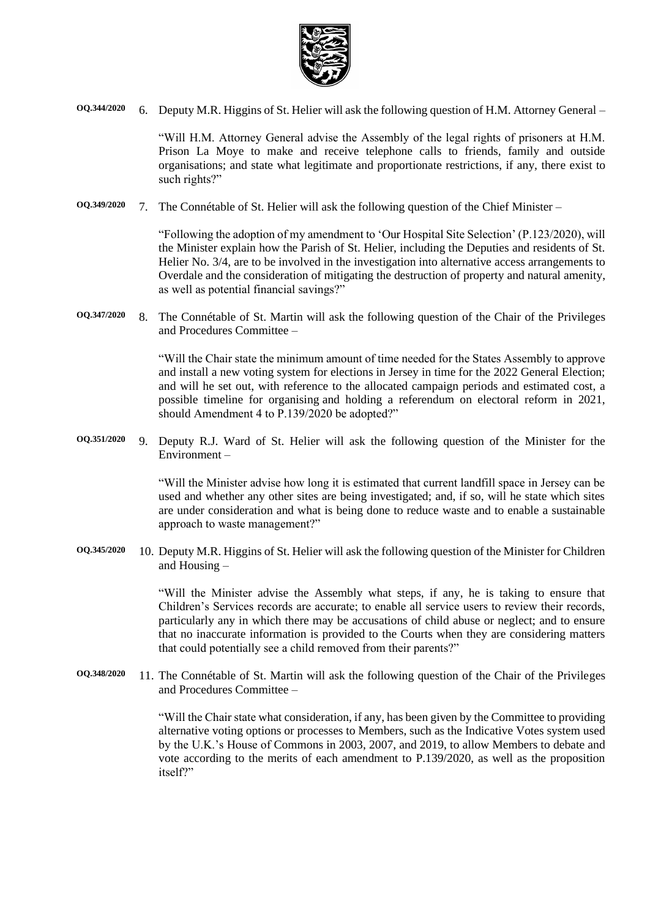

**OQ.344/2020** 6. Deputy M.R. Higgins of St. Helier will ask the following question of H.M. Attorney General –

"Will H.M. Attorney General advise the Assembly of the legal rights of prisoners at H.M. Prison La Moye to make and receive telephone calls to friends, family and outside organisations; and state what legitimate and proportionate restrictions, if any, there exist to such rights?"

**OQ.349/2020** 7. The Connétable of St. Helier will ask the following question of the Chief Minister –

"Following the adoption of my amendment to 'Our Hospital Site Selection' (P.123/2020), will the Minister explain how the Parish of St. Helier, including the Deputies and residents of St. Helier No. 3/4, are to be involved in the investigation into alternative access arrangements to Overdale and the consideration of mitigating the destruction of property and natural amenity, as well as potential financial savings?"

**OQ.347/2020** 8. The Connétable of St. Martin will ask the following question of the Chair of the Privileges and Procedures Committee –

> "Will the Chair state the minimum amount of time needed for the States Assembly to approve and install a new voting system for elections in Jersey in time for the 2022 General Election; and will he set out, with reference to the allocated campaign periods and estimated cost, a possible timeline for organising and holding a referendum on electoral reform in 2021, should Amendment 4 to P.139/2020 be adopted?"

**OQ.351/2020** 9. Deputy R.J. Ward of St. Helier will ask the following question of the Minister for the Environment –

> "Will the Minister advise how long it is estimated that current landfill space in Jersey can be used and whether any other sites are being investigated; and, if so, will he state which sites are under consideration and what is being done to reduce waste and to enable a sustainable approach to waste management?"

**OQ.345/2020** 10. Deputy M.R. Higgins of St. Helier will ask the following question of the Minister for Children and Housing –

> "Will the Minister advise the Assembly what steps, if any, he is taking to ensure that Children's Services records are accurate; to enable all service users to review their records, particularly any in which there may be accusations of child abuse or neglect; and to ensure that no inaccurate information is provided to the Courts when they are considering matters that could potentially see a child removed from their parents?"

**OQ.348/2020** 11. The Connétable of St. Martin will ask the following question of the Chair of the Privileges and Procedures Committee –

> "Will the Chair state what consideration, if any, has been given by the Committee to providing alternative voting options or processes to Members, such as the Indicative Votes system used by the U.K.'s House of Commons in 2003, 2007, and 2019, to allow Members to debate and vote according to the merits of each amendment to P.139/2020, as well as the proposition itself?"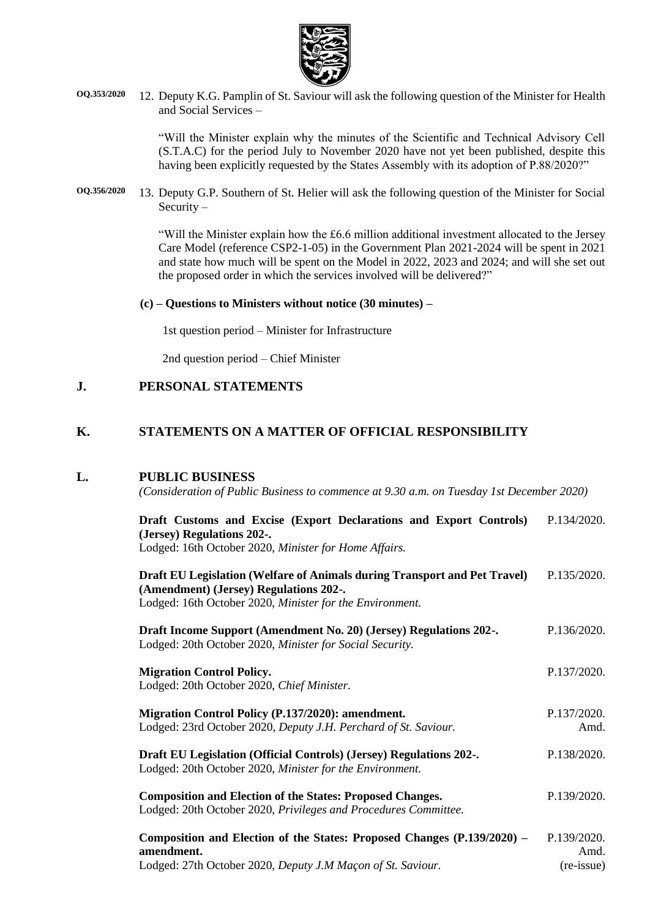

**OQ.353/2020** 12. Deputy K.G. Pamplin of St. Saviour will ask the following question of the Minister for Health and Social Services –

> "Will the Minister explain why the minutes of the Scientific and Technical Advisory Cell (S.T.A.C) for the period July to November 2020 have not yet been published, despite this having been explicitly requested by the States Assembly with its adoption of P.88/2020?"

**OQ.356/2020** 13. Deputy G.P. Southern of St. Helier will ask the following question of the Minister for Social Security –

> "Will the Minister explain how the £6.6 million additional investment allocated to the Jersey Care Model (reference CSP2-1-05) in the Government Plan 2021-2024 will be spent in 2021 and state how much will be spent on the Model in 2022, 2023 and 2024; and will she set out the proposed order in which the services involved will be delivered?"

#### **(c) – Questions to Ministers without notice (30 minutes) –**

1st question period – Minister for Infrastructure

2nd question period – Chief Minister

#### **J. PERSONAL STATEMENTS**

## **K. STATEMENTS ON A MATTER OF OFFICIAL RESPONSIBILITY**

#### **L. PUBLIC BUSINESS**

*(Consideration of Public Business to commence at 9.30 a.m. on Tuesday 1st December 2020)*

| Draft Customs and Excise (Export Declarations and Export Controls)<br>(Jersey) Regulations 202-.<br>Lodged: 16th October 2020, Minister for Home Affairs.                       | P.134/2020.                       |
|---------------------------------------------------------------------------------------------------------------------------------------------------------------------------------|-----------------------------------|
| Draft EU Legislation (Welfare of Animals during Transport and Pet Travel)<br>(Amendment) (Jersey) Regulations 202-.<br>Lodged: 16th October 2020, Minister for the Environment. | P.135/2020.                       |
| Draft Income Support (Amendment No. 20) (Jersey) Regulations 202-.<br>Lodged: 20th October 2020, Minister for Social Security.                                                  | P.136/2020.                       |
| <b>Migration Control Policy.</b><br>Lodged: 20th October 2020, Chief Minister.                                                                                                  | P.137/2020.                       |
| Migration Control Policy (P.137/2020): amendment.<br>Lodged: 23rd October 2020, Deputy J.H. Perchard of St. Saviour.                                                            | P.137/2020.<br>Amd.               |
| Draft EU Legislation (Official Controls) (Jersey) Regulations 202-.<br>Lodged: 20th October 2020, Minister for the Environment.                                                 | P.138/2020.                       |
| <b>Composition and Election of the States: Proposed Changes.</b><br>Lodged: 20th October 2020, Privileges and Procedures Committee.                                             | P.139/2020.                       |
| Composition and Election of the States: Proposed Changes (P.139/2020) -<br>amendment.<br>Lodged: 27th October 2020, Deputy J.M Maçon of St. Saviour.                            | P.139/2020.<br>Amd.<br>(re-issue) |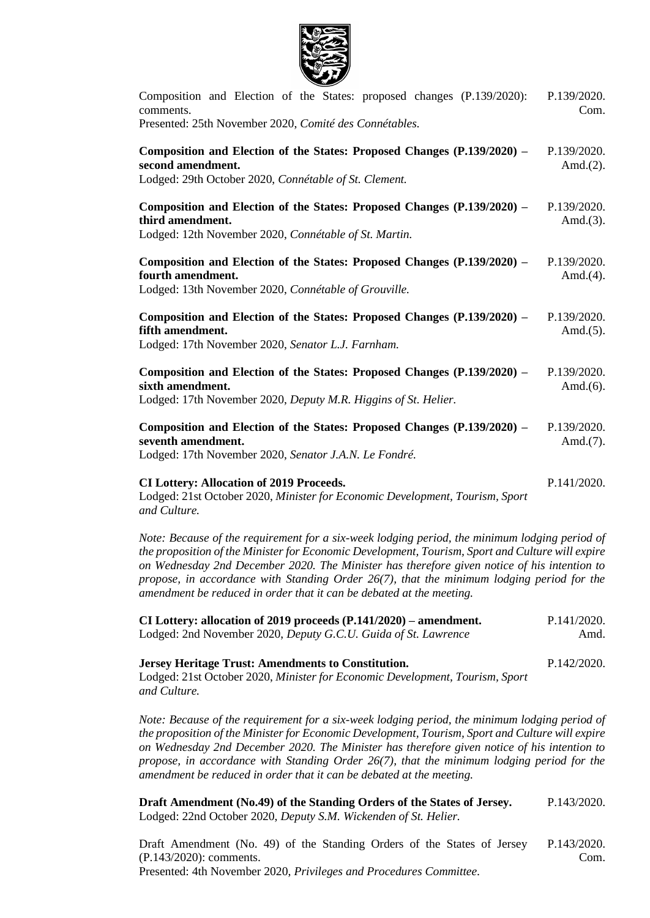

| Composition and Election of the States: proposed changes (P.139/2020):<br>comments.<br>Presented: 25th November 2020, Comité des Connétables.                 | P.139/2020.<br>Com.         |
|---------------------------------------------------------------------------------------------------------------------------------------------------------------|-----------------------------|
| Composition and Election of the States: Proposed Changes (P.139/2020) –<br>second amendment.<br>Lodged: 29th October 2020, Connétable of St. Clement.         | P.139/2020.<br>Amd. $(2)$ . |
| Composition and Election of the States: Proposed Changes (P.139/2020) –<br>third amendment.<br>Lodged: 12th November 2020, Connétable of St. Martin.          | P.139/2020.<br>Amd. $(3)$ . |
| Composition and Election of the States: Proposed Changes (P.139/2020) -<br>fourth amendment.<br>Lodged: 13th November 2020, Connétable of Grouville.          | P.139/2020.<br>Amd. $(4)$ . |
| Composition and Election of the States: Proposed Changes (P.139/2020) –<br>fifth amendment.<br>Lodged: 17th November 2020, Senator L.J. Farnham.              | P.139/2020.<br>Amd. $(5)$ . |
| Composition and Election of the States: Proposed Changes (P.139/2020) -<br>sixth amendment.<br>Lodged: 17th November 2020, Deputy M.R. Higgins of St. Helier. | P.139/2020.<br>Amd. $(6)$ . |
| Composition and Election of the States: Proposed Changes (P.139/2020) –<br>seventh amendment.<br>Lodged: 17th November 2020, Senator J.A.N. Le Fondré.        | P.139/2020.<br>Amd. $(7)$ . |
| <b>CI Lottery: Allocation of 2019 Proceeds.</b><br>Lodged: 21st October 2020, Minister for Economic Development, Tourism, Sport<br>and Culture.               | P.141/2020.                 |

*Note: Because of the requirement for a six-week lodging period, the minimum lodging period of the proposition of the Minister for Economic Development, Tourism, Sport and Culture will expire on Wednesday 2nd December 2020. The Minister has therefore given notice of his intention to propose, in accordance with Standing Order 26(7), that the minimum lodging period for the amendment be reduced in order that it can be debated at the meeting.*

| CI Lottery: allocation of 2019 proceeds $(P.141/2020)$ – amendment. | P.141/2020. |
|---------------------------------------------------------------------|-------------|
| Lodged: 2nd November 2020, Deputy G.C.U. Guida of St. Lawrence      | Amd.        |

**Jersey Heritage Trust: Amendments to Constitution.** Lodged: 21st October 2020, *Minister for Economic Development, Tourism, Sport and Culture.* [P.142/2020.](https://statesassembly.gov.je/assemblypropositions/2020/p.142-2020.pdf)

*Note: Because of the requirement for a six-week lodging period, the minimum lodging period of the proposition of the Minister for Economic Development, Tourism, Sport and Culture will expire on Wednesday 2nd December 2020. The Minister has therefore given notice of his intention to propose, in accordance with Standing Order 26(7), that the minimum lodging period for the amendment be reduced in order that it can be debated at the meeting.*

**Draft Amendment (No.49) of the Standing Orders of the States of Jersey.** Lodged: 22nd October 2020, *Deputy S.M. Wickenden of St. Helier.* [P.143/2020.](https://statesassembly.gov.je/assemblypropositions/2020/p.143-2020.pdf)

[Draft Amendment \(No. 49\) of the Standing Orders of the States of Jersey](https://statesassembly.gov.je/AssemblyPropositions/2020/P.143-2020Com.pdf)  [\(P.143/2020\): comments.](https://statesassembly.gov.je/AssemblyPropositions/2020/P.143-2020Com.pdf) Presented: 4th November 2020, *[Privileges and Procedures Committee.](https://statesassembly.gov.je/AssemblyPropositions/2020/P.143-2020Com.pdf)* [P.143/2020.](https://statesassembly.gov.je/AssemblyPropositions/2020/P.143-2020Com.pdf) [Com.](https://statesassembly.gov.je/AssemblyPropositions/2020/P.143-2020Com.pdf)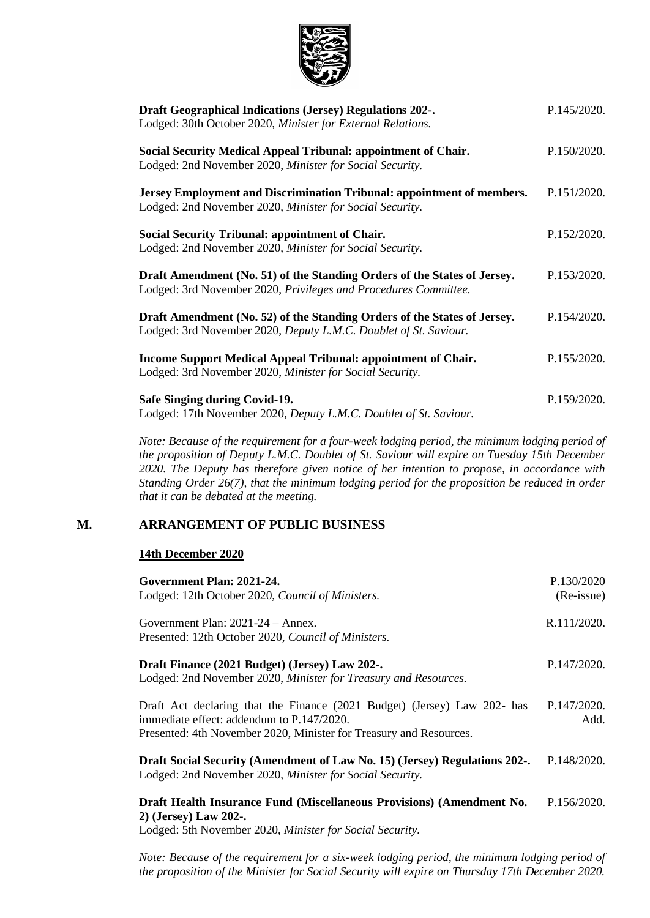

| <b>Draft Geographical Indications (Jersey) Regulations 202-.</b><br>Lodged: 30th October 2020, Minister for External Relations.              | P.145/2020. |
|----------------------------------------------------------------------------------------------------------------------------------------------|-------------|
| Social Security Medical Appeal Tribunal: appointment of Chair.<br>Lodged: 2nd November 2020, Minister for Social Security.                   | P.150/2020. |
| Jersey Employment and Discrimination Tribunal: appointment of members.<br>Lodged: 2nd November 2020, Minister for Social Security.           | P.151/2020. |
| <b>Social Security Tribunal: appointment of Chair.</b><br>Lodged: 2nd November 2020, Minister for Social Security.                           | P.152/2020. |
| Draft Amendment (No. 51) of the Standing Orders of the States of Jersey.<br>Lodged: 3rd November 2020, Privileges and Procedures Committee.  | P.153/2020. |
| Draft Amendment (No. 52) of the Standing Orders of the States of Jersey.<br>Lodged: 3rd November 2020, Deputy L.M.C. Doublet of St. Saviour. | P.154/2020. |
| <b>Income Support Medical Appeal Tribunal: appointment of Chair.</b><br>Lodged: 3rd November 2020, Minister for Social Security.             | P.155/2020. |
| Safe Singing during Covid-19.<br>Lodged: 17th November 2020, Deputy L.M.C. Doublet of St. Saviour.                                           | P.159/2020. |

*Note: Because of the requirement for a four-week lodging period, the minimum lodging period of the proposition of Deputy L.M.C. Doublet of St. Saviour will expire on Tuesday 15th December 2020. The Deputy has therefore given notice of her intention to propose, in accordance with Standing Order 26(7), that the minimum lodging period for the proposition be reduced in order that it can be debated at the meeting.*

## **M. ARRANGEMENT OF PUBLIC BUSINESS**

#### **14th December 2020**

| Government Plan: 2021-24.<br>Lodged: 12th October 2020, Council of Ministers.                                                                                                               | P.130/2020<br>(Re-issue) |
|---------------------------------------------------------------------------------------------------------------------------------------------------------------------------------------------|--------------------------|
| Government Plan: $2021-24$ – Annex.<br>Presented: 12th October 2020, Council of Ministers.                                                                                                  | R.111/2020.              |
| Draft Finance (2021 Budget) (Jersey) Law 202-.<br>Lodged: 2nd November 2020, Minister for Treasury and Resources.                                                                           | P.147/2020.              |
| Draft Act declaring that the Finance (2021 Budget) (Jersey) Law 202- has<br>immediate effect: addendum to P.147/2020.<br>Presented: 4th November 2020, Minister for Treasury and Resources. | P.147/2020.<br>Add.      |
| Draft Social Security (Amendment of Law No. 15) (Jersey) Regulations 202-.<br>Lodged: 2nd November 2020, Minister for Social Security.                                                      | P.148/2020.              |
| Draft Health Insurance Fund (Miscellaneous Provisions) (Amendment No.<br>2) (Jersey) Law 202-.<br>Lodged: 5th November 2020, <i>Minister for Social Security</i> .                          | P.156/2020.              |

*Note: Because of the requirement for a six-week lodging period, the minimum lodging period of the proposition of the Minister for Social Security will expire on Thursday 17th December 2020.*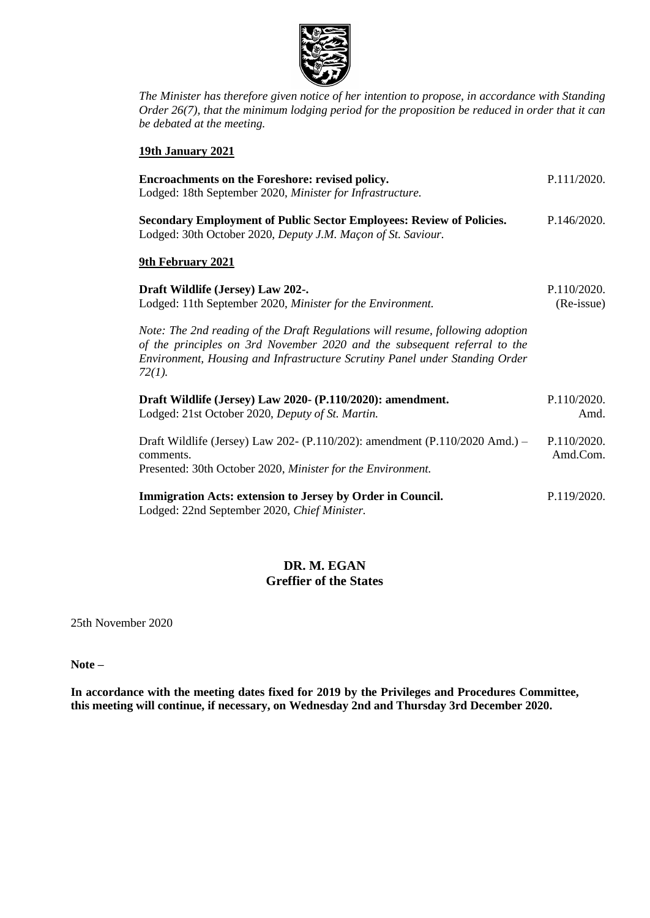

*The Minister has therefore given notice of her intention to propose, in accordance with Standing Order 26(7), that the minimum lodging period for the proposition be reduced in order that it can be debated at the meeting.*

#### **19th January 2021**

| Encroachments on the Foreshore: revised policy.<br>Lodged: 18th September 2020, Minister for Infrastructure.                                                                                                                                            | P.111/2020.               |
|---------------------------------------------------------------------------------------------------------------------------------------------------------------------------------------------------------------------------------------------------------|---------------------------|
| <b>Secondary Employment of Public Sector Employees: Review of Policies.</b><br>Lodged: 30th October 2020, Deputy J.M. Maçon of St. Saviour.                                                                                                             | P.146/2020.               |
| 9th February 2021                                                                                                                                                                                                                                       |                           |
| Draft Wildlife (Jersey) Law 202-.<br>Lodged: 11th September 2020, Minister for the Environment.                                                                                                                                                         | P.110/2020.<br>(Re-issue) |
| Note: The 2nd reading of the Draft Regulations will resume, following adoption<br>of the principles on 3rd November 2020 and the subsequent referral to the<br>Environment, Housing and Infrastructure Scrutiny Panel under Standing Order<br>$72(1)$ . |                           |
| Draft Wildlife (Jersey) Law 2020- (P.110/2020): amendment.<br>Lodged: 21st October 2020, Deputy of St. Martin.                                                                                                                                          | P.110/2020.<br>Amd.       |
| Draft Wildlife (Jersey) Law 202- (P.110/202): amendment (P.110/2020 Amd.) –<br>comments.<br>Presented: 30th October 2020, Minister for the Environment.                                                                                                 | P.110/2020.<br>Amd.Com.   |
| Immigration Acts: extension to Jersey by Order in Council.<br>Lodged: 22nd September 2020, Chief Minister.                                                                                                                                              | P.119/2020.               |

# **DR. M. EGAN Greffier of the States**

25th November 2020

**Note –**

**In accordance with the meeting dates fixed for 2019 by the Privileges and Procedures Committee, this meeting will continue, if necessary, on Wednesday 2nd and Thursday 3rd December 2020.**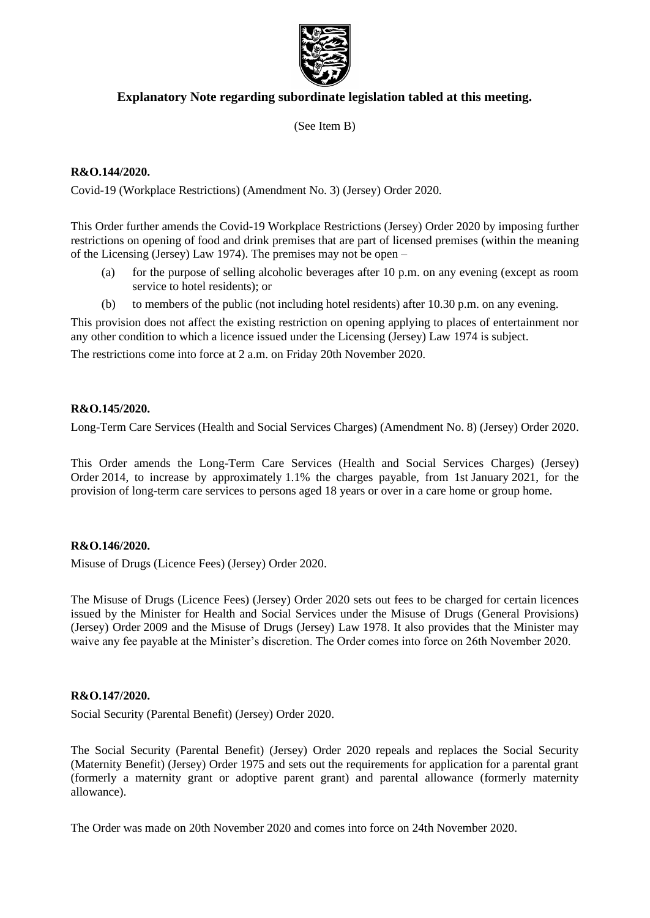

# **Explanatory Note regarding subordinate legislation tabled at this meeting.**

(See Item B)

### **R&O.144/2020.**

Covid-19 (Workplace Restrictions) (Amendment No. 3) (Jersey) Order 2020.

This Order further amends the Covid-19 Workplace Restrictions (Jersey) Order 2020 by imposing further restrictions on opening of food and drink premises that are part of licensed premises (within the meaning of the Licensing (Jersey) Law 1974). The premises may not be open –

- (a) for the purpose of selling alcoholic beverages after 10 p.m. on any evening (except as room service to hotel residents); or
- (b) to members of the public (not including hotel residents) after 10.30 p.m. on any evening.

This provision does not affect the existing restriction on opening applying to places of entertainment nor any other condition to which a licence issued under the Licensing (Jersey) Law 1974 is subject.

The restrictions come into force at 2 a.m. on Friday 20th November 2020.

#### **R&O.145/2020.**

Long-Term Care Services (Health and Social Services Charges) (Amendment No. 8) (Jersey) Order 2020.

This Order amends the Long-Term Care Services (Health and Social Services Charges) (Jersey) Order 2014, to increase by approximately 1.1% the charges payable, from 1st January 2021, for the provision of long-term care services to persons aged 18 years or over in a care home or group home.

#### **R&O.146/2020.**

Misuse of Drugs (Licence Fees) (Jersey) Order 2020.

The Misuse of Drugs (Licence Fees) (Jersey) Order 2020 sets out fees to be charged for certain licences issued by the Minister for Health and Social Services under the Misuse of Drugs (General Provisions) (Jersey) Order 2009 and the Misuse of Drugs (Jersey) Law 1978. It also provides that the Minister may waive any fee payable at the Minister's discretion. The Order comes into force on 26th November 2020.

#### **R&O.147/2020.**

Social Security (Parental Benefit) (Jersey) Order 2020.

The Social Security (Parental Benefit) (Jersey) Order 2020 repeals and replaces the Social Security (Maternity Benefit) (Jersey) Order 1975 and sets out the requirements for application for a parental grant (formerly a maternity grant or adoptive parent grant) and parental allowance (formerly maternity allowance).

The Order was made on 20th November 2020 and comes into force on 24th November 2020.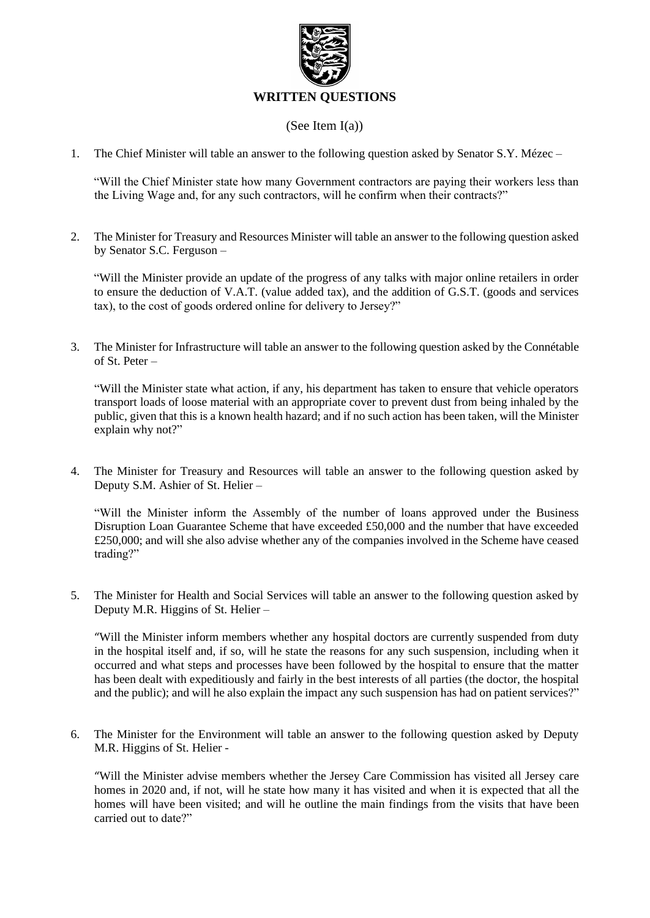

# (See Item I(a))

1. The Chief Minister will table an answer to the following question asked by Senator S.Y. Mézec –

"Will the Chief Minister state how many Government contractors are paying their workers less than the Living Wage and, for any such contractors, will he confirm when their contracts?"

2. The Minister for Treasury and Resources Minister will table an answer to the following question asked by Senator S.C. Ferguson –

"Will the Minister provide an update of the progress of any talks with major online retailers in order to ensure the deduction of V.A.T. (value added tax), and the addition of G.S.T. (goods and services tax), to the cost of goods ordered online for delivery to Jersey?"

3. The Minister for Infrastructure will table an answer to the following question asked by the Connétable of St. Peter –

"Will the Minister state what action, if any, his department has taken to ensure that vehicle operators transport loads of loose material with an appropriate cover to prevent dust from being inhaled by the public, given that this is a known health hazard; and if no such action has been taken, will the Minister explain why not?"

4. The Minister for Treasury and Resources will table an answer to the following question asked by Deputy S.M. Ashier of St. Helier –

"Will the Minister inform the Assembly of the number of loans approved under the Business Disruption Loan Guarantee Scheme that have exceeded £50,000 and the number that have exceeded £250,000; and will she also advise whether any of the companies involved in the Scheme have ceased trading?"

5. The Minister for Health and Social Services will table an answer to the following question asked by Deputy M.R. Higgins of St. Helier –

"Will the Minister inform members whether any hospital doctors are currently suspended from duty in the hospital itself and, if so, will he state the reasons for any such suspension, including when it occurred and what steps and processes have been followed by the hospital to ensure that the matter has been dealt with expeditiously and fairly in the best interests of all parties (the doctor, the hospital and the public); and will he also explain the impact any such suspension has had on patient services?"

6. The Minister for the Environment will table an answer to the following question asked by Deputy M.R. Higgins of St. Helier -

"Will the Minister advise members whether the Jersey Care Commission has visited all Jersey care homes in 2020 and, if not, will he state how many it has visited and when it is expected that all the homes will have been visited; and will he outline the main findings from the visits that have been carried out to date?"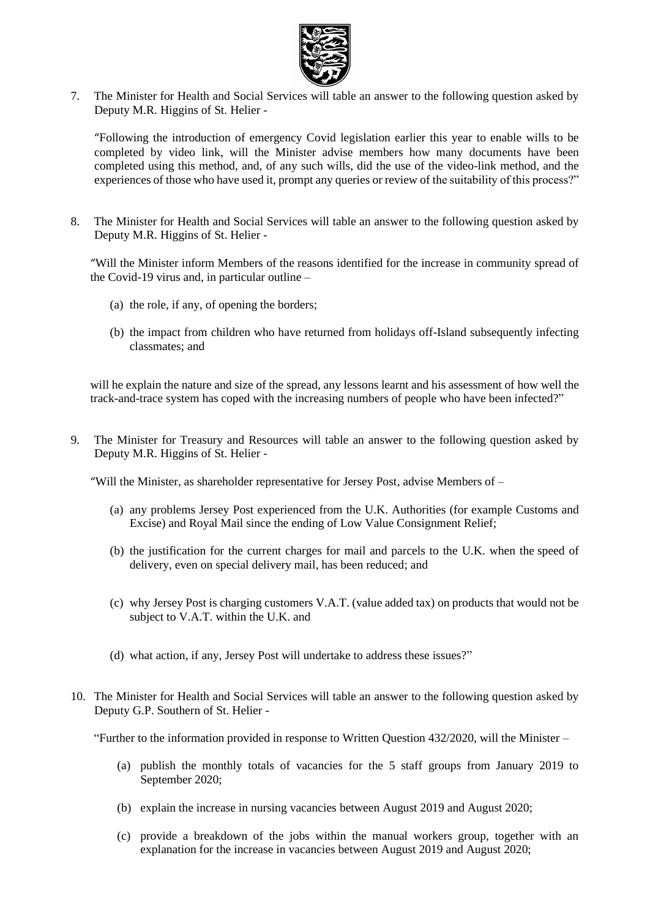

7. The Minister for Health and Social Services will table an answer to the following question asked by Deputy M.R. Higgins of St. Helier -

"Following the introduction of emergency Covid legislation earlier this year to enable wills to be completed by video link, will the Minister advise members how many documents have been completed using this method, and, of any such wills, did the use of the video-link method, and the experiences of those who have used it, prompt any queries or review of the suitability of this process?"

8. The Minister for Health and Social Services will table an answer to the following question asked by Deputy M.R. Higgins of St. Helier -

"Will the Minister inform Members of the reasons identified for the increase in community spread of the Covid-19 virus and, in particular outline –

- (a) the role, if any, of opening the borders;
- (b) the impact from children who have returned from holidays off-Island subsequently infecting classmates; and

will he explain the nature and size of the spread, any lessons learnt and his assessment of how well the track-and-trace system has coped with the increasing numbers of people who have been infected?"

9. The Minister for Treasury and Resources will table an answer to the following question asked by Deputy M.R. Higgins of St. Helier -

"Will the Minister, as shareholder representative for Jersey Post, advise Members of –

- (a) any problems Jersey Post experienced from the U.K. Authorities (for example Customs and Excise) and Royal Mail since the ending of Low Value Consignment Relief;
- (b) the justification for the current charges for mail and parcels to the U.K. when the speed of delivery, even on special delivery mail, has been reduced; and
- (c) why Jersey Post is charging customers V.A.T. (value added tax) on products that would not be subject to V.A.T. within the U.K. and
- (d) what action, if any, Jersey Post will undertake to address these issues?"
- 10. The Minister for Health and Social Services will table an answer to the following question asked by Deputy G.P. Southern of St. Helier -

"Further to the information provided in response to Written Question  $432/2020$ , will the Minister –

- (a) publish the monthly totals of vacancies for the 5 staff groups from January 2019 to September 2020;
- (b) explain the increase in nursing vacancies between August 2019 and August 2020;
- (c) provide a breakdown of the jobs within the manual workers group, together with an explanation for the increase in vacancies between August 2019 and August 2020;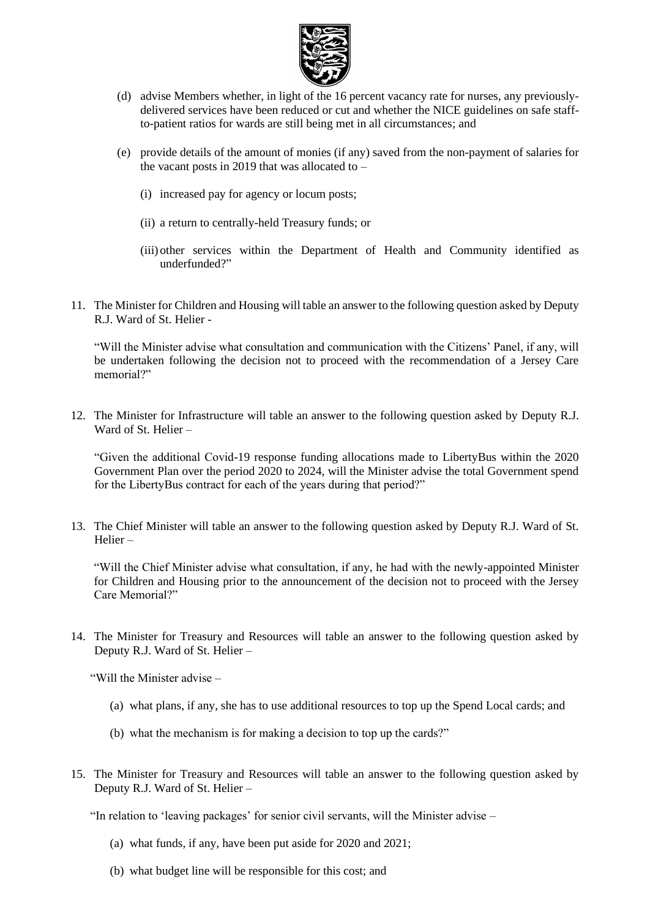

- (d) advise Members whether, in light of the 16 percent vacancy rate for nurses, any previouslydelivered services have been reduced or cut and whether the NICE guidelines on safe staffto-patient ratios for wards are still being met in all circumstances; and
- (e) provide details of the amount of monies (if any) saved from the non-payment of salaries for the vacant posts in 2019 that was allocated to  $-$ 
	- (i) increased pay for agency or locum posts;
	- (ii) a return to centrally-held Treasury funds; or
	- (iii) other services within the Department of Health and Community identified as underfunded?"
- 11. The Minister for Children and Housing will table an answer to the following question asked by Deputy R.J. Ward of St. Helier -

"Will the Minister advise what consultation and communication with the Citizens' Panel, if any, will be undertaken following the decision not to proceed with the recommendation of a Jersey Care memorial?"

12. The Minister for Infrastructure will table an answer to the following question asked by Deputy R.J. Ward of St. Helier –

"Given the additional Covid-19 response funding allocations made to LibertyBus within the 2020 Government Plan over the period 2020 to 2024, will the Minister advise the total Government spend for the LibertyBus contract for each of the years during that period?"

13. The Chief Minister will table an answer to the following question asked by Deputy R.J. Ward of St. Helier –

"Will the Chief Minister advise what consultation, if any, he had with the newly-appointed Minister for Children and Housing prior to the announcement of the decision not to proceed with the Jersey Care Memorial?"

14. The Minister for Treasury and Resources will table an answer to the following question asked by Deputy R.J. Ward of St. Helier –

"Will the Minister advise –

- (a) what plans, if any, she has to use additional resources to top up the Spend Local cards; and
- (b) what the mechanism is for making a decision to top up the cards?"
- 15. The Minister for Treasury and Resources will table an answer to the following question asked by Deputy R.J. Ward of St. Helier –

"In relation to 'leaving packages' for senior civil servants, will the Minister advise –

- (a) what funds, if any, have been put aside for 2020 and 2021;
- (b) what budget line will be responsible for this cost; and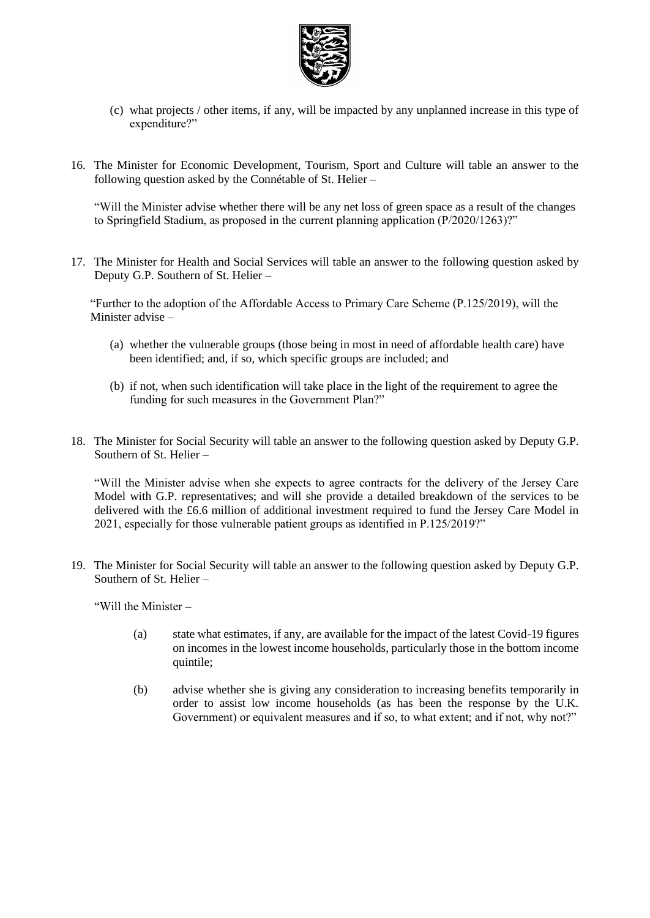

- (c) what projects / other items, if any, will be impacted by any unplanned increase in this type of expenditure?"
- 16. The Minister for Economic Development, Tourism, Sport and Culture will table an answer to the following question asked by the Connétable of St. Helier –

"Will the Minister advise whether there will be any net loss of green space as a result of the changes to Springfield Stadium, as proposed in the current planning application (P/2020/1263)?"

17. The Minister for Health and Social Services will table an answer to the following question asked by Deputy G.P. Southern of St. Helier –

"Further to the adoption of the Affordable Access to Primary Care Scheme (P.125/2019), will the Minister advise –

- (a) whether the vulnerable groups (those being in most in need of affordable health care) have been identified; and, if so, which specific groups are included; and
- (b) if not, when such identification will take place in the light of the requirement to agree the funding for such measures in the Government Plan?"
- 18. The Minister for Social Security will table an answer to the following question asked by Deputy G.P. Southern of St. Helier –

"Will the Minister advise when she expects to agree contracts for the delivery of the Jersey Care Model with G.P. representatives; and will she provide a detailed breakdown of the services to be delivered with the £6.6 million of additional investment required to fund the Jersey Care Model in 2021, especially for those vulnerable patient groups as identified in P.125/2019?"

19. The Minister for Social Security will table an answer to the following question asked by Deputy G.P. Southern of St. Helier –

"Will the Minister –

- (a) state what estimates, if any, are available for the impact of the latest Covid-19 figures on incomes in the lowest income households, particularly those in the bottom income quintile;
- (b) advise whether she is giving any consideration to increasing benefits temporarily in order to assist low income households (as has been the response by the U.K. Government) or equivalent measures and if so, to what extent; and if not, why not?"